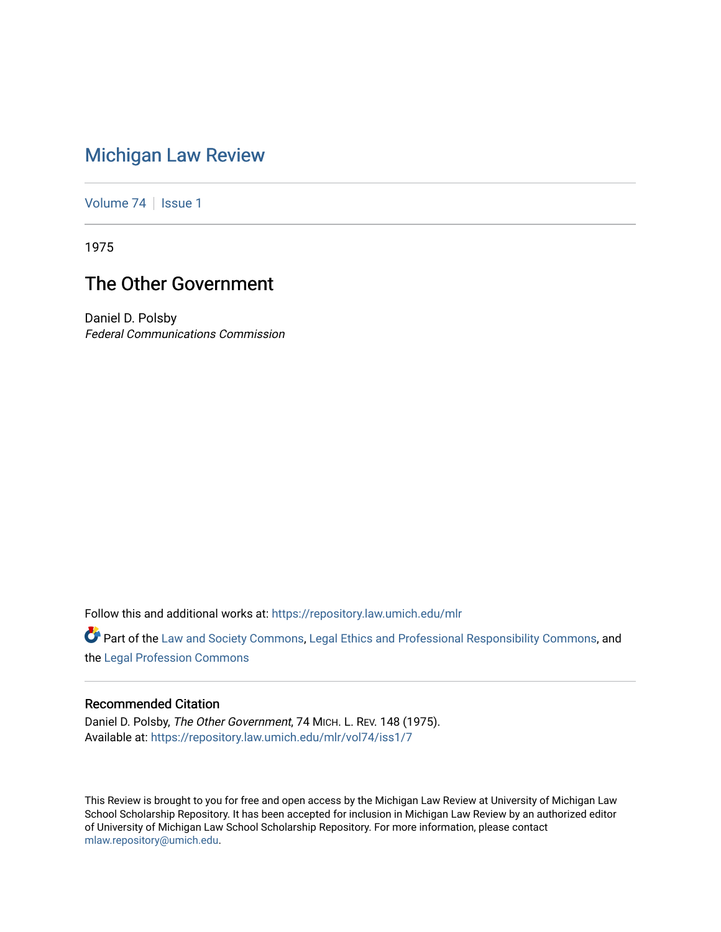# [Michigan Law Review](https://repository.law.umich.edu/mlr)

[Volume 74](https://repository.law.umich.edu/mlr/vol74) | [Issue 1](https://repository.law.umich.edu/mlr/vol74/iss1)

1975

# The Other Government

Daniel D. Polsby Federal Communications Commission

Follow this and additional works at: [https://repository.law.umich.edu/mlr](https://repository.law.umich.edu/mlr?utm_source=repository.law.umich.edu%2Fmlr%2Fvol74%2Fiss1%2F7&utm_medium=PDF&utm_campaign=PDFCoverPages) 

Part of the [Law and Society Commons](http://network.bepress.com/hgg/discipline/853?utm_source=repository.law.umich.edu%2Fmlr%2Fvol74%2Fiss1%2F7&utm_medium=PDF&utm_campaign=PDFCoverPages), [Legal Ethics and Professional Responsibility Commons,](http://network.bepress.com/hgg/discipline/895?utm_source=repository.law.umich.edu%2Fmlr%2Fvol74%2Fiss1%2F7&utm_medium=PDF&utm_campaign=PDFCoverPages) and the [Legal Profession Commons](http://network.bepress.com/hgg/discipline/1075?utm_source=repository.law.umich.edu%2Fmlr%2Fvol74%2Fiss1%2F7&utm_medium=PDF&utm_campaign=PDFCoverPages) 

# Recommended Citation

Daniel D. Polsby, The Other Government, 74 MICH. L. REV. 148 (1975). Available at: [https://repository.law.umich.edu/mlr/vol74/iss1/7](https://repository.law.umich.edu/mlr/vol74/iss1/7?utm_source=repository.law.umich.edu%2Fmlr%2Fvol74%2Fiss1%2F7&utm_medium=PDF&utm_campaign=PDFCoverPages)

This Review is brought to you for free and open access by the Michigan Law Review at University of Michigan Law School Scholarship Repository. It has been accepted for inclusion in Michigan Law Review by an authorized editor of University of Michigan Law School Scholarship Repository. For more information, please contact [mlaw.repository@umich.edu.](mailto:mlaw.repository@umich.edu)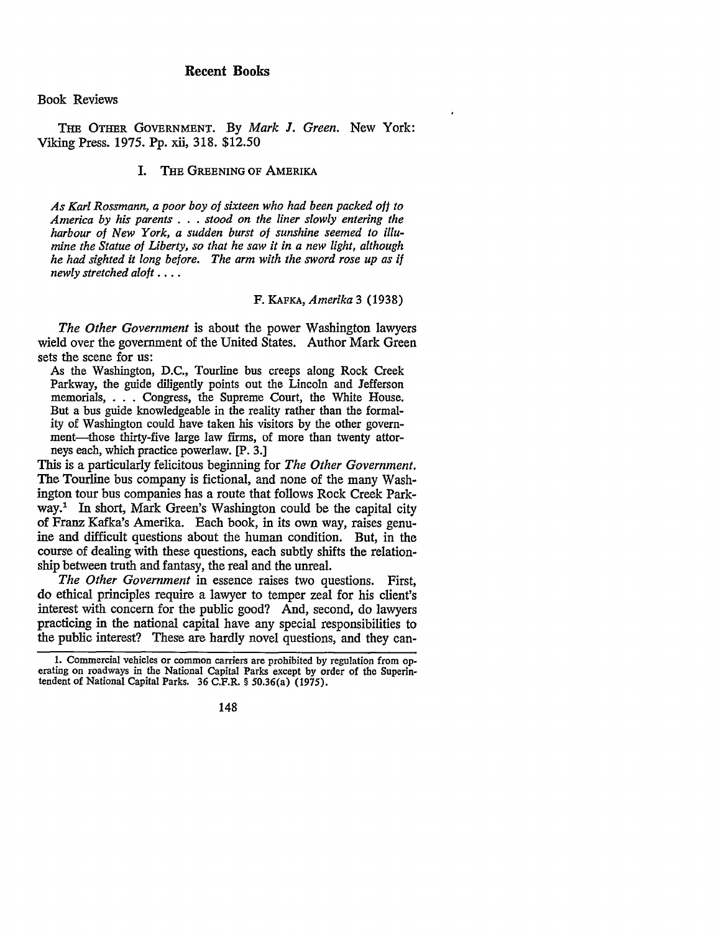# **Recent Books**

Book Reviews

THE OTHER GOVERNMENT. By *Mark J. Green*. New York: Viking Press. 1975. Pp. xii, 318. \$12.50

#### I. **THE GREENING OF AMERIKA**

*As Karl Rossmann, a poor boy of sixteen who had been packed off to America by his parents* . . . *stood on the liner slowly entering the harbour of New York, a sudden burst of sunshine seemed to illumine the Statue of Liberty, so that he saw it in a new light, although he had sighted it long before. The arm with the sword rose up as if newly stretched aloft* ....

#### F. KAFKA, *Amerika* 3 (1938)

*The Other Government* is about the power Washington lawyers wield over the government of the United States. Author Mark Green sets the scene for us:

As the Washington, D.C., Tourline bus creeps along Rock Creek Parkway, the guide diligently points out the Lincoln and Jefferson memorials, . . . Congress, the Supreme Court, the White House. But a bus guide knowledgeable in the reality rather than the formality of Washington could have taken bis visitors by the other government-those thirty-five large law firms, of more than twenty attorneys each, which practice powerlaw. [P. 3.]

This is a particularly felicitous beginning for *The Other Government.*  The Tourline bus company is fictional, and none of the many Washington tour bus companies has a route that follows Rock Creek Parkway.1 In short, Mark Green's Washington could be the capital city of Franz Kafka's Amerika. Each book, in its own way, raises genuine and difficult questions about the human condition. But, in the course of dealing with these questions, each subtly shifts the relationship between truth and fantasy, the real and the unreal.

*The Other Government* in essence raises two questions. First, do ethical principles require a lawyer to temper zeal for his client's interest with concern for the public good? And, second, do lawyers practicing in the national capital have any special responsibilities to the public interest? These are hardly novel questions, and they can-

<sup>1.</sup> Commercial vehicles or common carriers are prohibited by regulation from operating on roadways in the National Capital Parks except by order of the Superin• tendent of National Capital Parks. 36 C.F.R. § 50.36(a) (1975).

<sup>148</sup>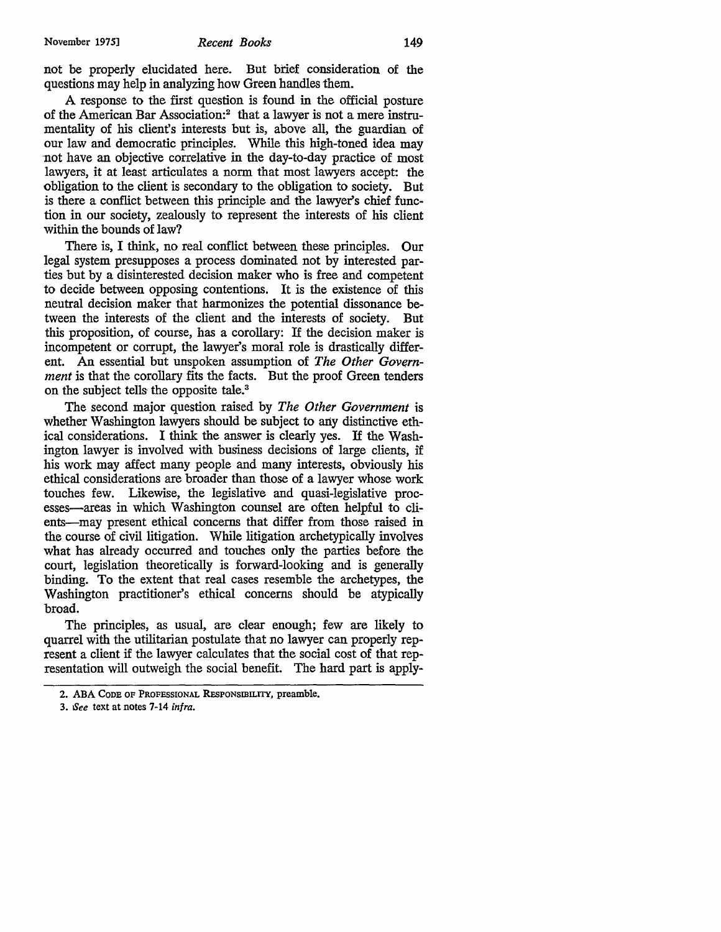not be properly elucidated here. But brief consideration of the questions may help in analyzing how Green handles them.

A response to the first question is found in the official posture of the American Bar Association:2 that a lawyer is not a mere instrumentality of his client's interests but is, above all, the guardian of our law and democratic principles. While this high-toned idea may not have an objective correlative in the day-to-day practice of most lawyers, it at least articulates a norm that most lawyers accept: the obligation to the client is secondary to the obligation to society. But is there a conflict between this principle and the lawyer's chief function in our society, zealously to represent the interests of his client within the bounds of law?

There is, I think, no real conflict between these principles. Our legal system presupposes a process dominated not by interested parties but by a disinterested decision maker who is free and competent to decide between opposing contentions. It is the existence of this neutral decision maker that harmonizes the potential dissonance between the interests of the client and the interests of society. But this proposition, of course, has a corollary: If the decision maker is incompetent or corrupt, the lawyer's moral role is drastically different. An essential but unspoken assumption of *The Other Government* is that the corollary fits the facts. But the proof Green tenders on the subject tells the opposite tale.<sup>3</sup>

The second major question raised by *The Other Government* is whether Washington lawyers should be subject to any distinctive ethical considerations. I think the answer is clearly yes. If the Washington lawyer is involved with business decisions of large clients, if his work may affect many people and many interests, obviously his ethical considerations are broader than those of a lawyer whose work touches few. Likewise, the legislative and quasi-legislative processes-areas in which Washington counsel are often helpful to clients-may present ethical concerns that differ from those raised in the course of civil litigation. While litigation archetypically involves what has already occurred and touches only the parties before the court, legislation theoretically is forward-looking and is generally binding. To the extent that real cases resemble the archetypes, the Washington practitioner's ethical concerns should be atypically broad.

The principles, as usual, are clear enough; few are likely to quarrel with the utilitarian postulate that no lawyer can properly represent a client if the lawyer calculates that the social cost of that representation will outweigh the social benefit. The hard part is apply-

3. *See* text at notes 7-14 *infra*.

<sup>2.</sup> ABA CoDE OF PROFESSIONAL REsPONSIBILITY, preamble.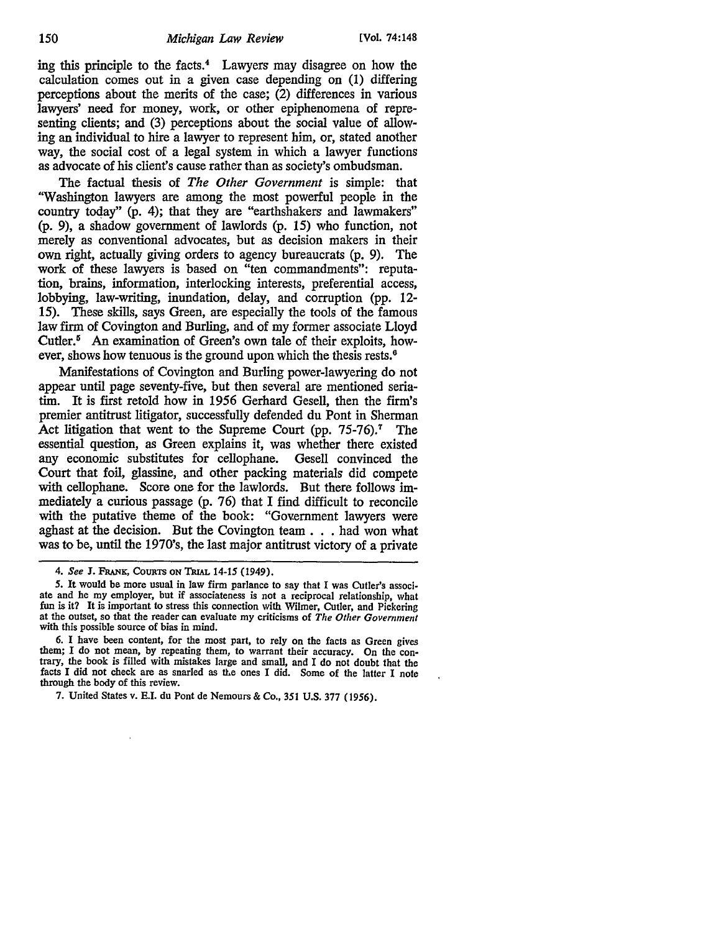ing this principle to the facts.<sup>4</sup> Lawyers may disagree on how the calculation comes out in a given case depending on (1) differing perceptions about the merits of the case; (2) differences in various lawyers' need for money, work, or other epiphenomena of representing clients; and (3) perceptions about the social value of allowing an individual to hire a lawyer to represent him, or, stated another way, the social cost of a legal system in which a lawyer functions as advocate of his client's cause rather than as society's ombudsman.

The factual thesis of *The Other Government* is simple: that "Washington lawyers are among the most powerful people in the country today" (p. 4); that they are "earthshakers and lawmakers" (p. 9), a shadow government of lawlords (p. 15) who function, not merely as conventional advocates, but as decision makers in their own right, actually giving orders to agency bureaucrats (p. 9). The work of these lawyers is based on "ten commandments": reputation, brains, information, interlocking interests, preferential access, lobbying, law-writing, inundation, delay, and corruption (pp. 12- 15). These skills, says Green, are especially the tools of the famous law firm of Covington and Burling, and of my former associate Lloyd Cutler.<sup>5</sup> An examination of Green's own tale of their exploits, however, shows how tenuous is the ground upon which the thesis rests.<sup>6</sup>

Manifestations of Covington and Burling power-lawyering do not appear until page seventy-five, but then several are mentioned seriatim. It is first retold how in 1956 Gerhard Gesell, then the firm's premier antitrust litigator, successfully defended du Pont in Sherman Act litigation that went to the Supreme Court (pp.  $75-76$ ).<sup>7</sup> The essential question, as Green explains it, was whether there existed any economic substitutes for cellophane. Gesell convinced the Court that foil, glassine, and other packing materials did compete with cellophane. Score one for the lawlords. But there follows immediately a curious passage (p. 76) that I find difficult to reconcile with the putative theme of the book: "Government lawyers were aghast at the decision. But the Covington team . . . had won what was to be, until the 1970's, the last major antitrust victory of a private

<sup>4.</sup> *See* J. FRANK, CoURTS ON ThIAL 14-15 (1949).

*<sup>5.</sup>* It would be more usual in law firm parlance to say that I was Cutler's associate and be my employer, but if associateness is not a reciprocal relationship, what fun is it? It is important to stress this connection with Wilmer, Cutler, and Pickering at the outset, so that the reader can evaluate my criticisms of *The Other Government*  with this possible source of bias in mind.

<sup>6.</sup> I have been content, for the most part, to rely on the facts as Green gives them; I do not mean, by repeating them, to warrant their accuracy. On the contrary, the book is filled with mistakes large and small, and I do not doubt that the facts I did not check are as snarled as the ones I did. Some of the latter I note through the body of this review.

<sup>7.</sup> United States v. E.I. du Pont de Nemours & Co., 351 U.S. 377 ( 1956).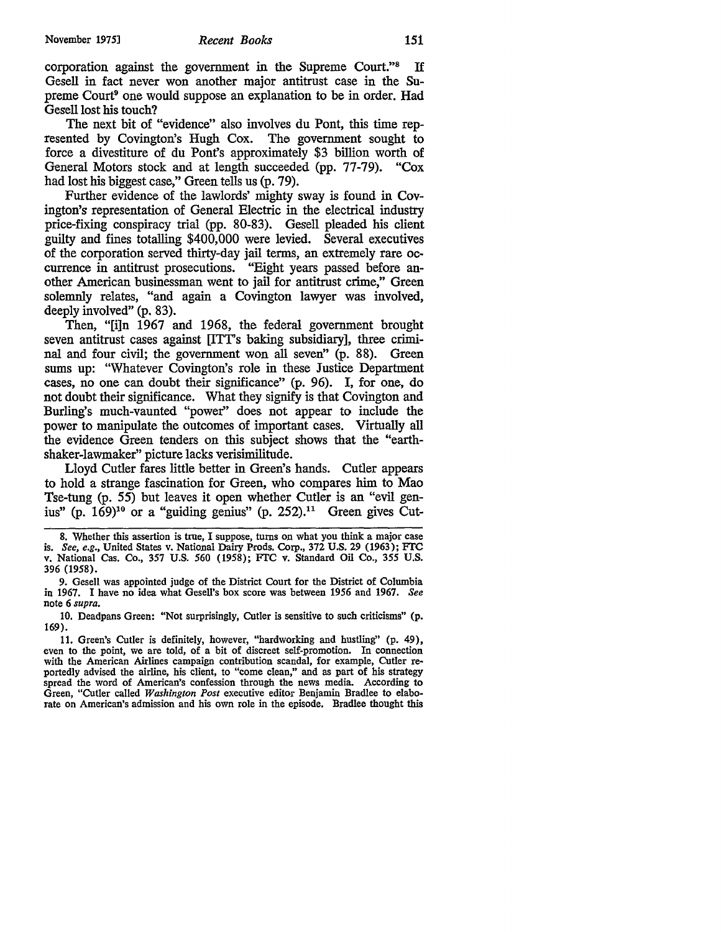corporation against the government in the Supreme Court."8 If Gesell in fact never won another major antitrust case in the Supreme Court9 one would suppose an explanation to be in order. Had Gesell lost his touch?

The next bit of "evidence" also involves du Pont, this time represented by Covington's Hugh Cox. The government sought to force a divestiture of du Pont's approximately \$3 billion worth of General Motors stock and at length succeeded (pp. 77-79). "Cox had lost his biggest case," Green tells us (p. 79).

Further evidence of the lawlords' mighty sway is found in Covington's representation of General Electric in the electrical industry price-fixing conspiracy trial (pp. 80-83). Gesell pleaded his client guilty and fines totalling \$400,000 were levied. Several executives of the corporation served thirty-day jail terms, an extremely rare occurrence in antitrust prosecutions. "Eight years passed before another American businessman went to jail for antitrust crime," Green solemnly relates, "and again a Covington lawyer was involved, deeply involved" (p. 83).

Then, "[i]n 1967 and 1968, the federal government brought seven antitrust cases against [ITT's baking subsidiary], three criminal and four civil; the government won all seven'' (p. 88). Green sums up: "Whatever Covington's role in these Justice Department cases, no one can doubt their significance" (p. 96). I, for one, do not doubt their significance. What they signify is that Covington and Burling's much-vaunted "power'' does not appear to include the power to manipulate the outcomes of important cases. Virtually all the evidence Green tenders on this subject shows that the "earthshaker-lawmaker" picture lacks verisimilitude.

Lloyd Cutler fares little better in Green's hands. Cutler appears to hold a strange fascination for Green, who compares him to Mao Tse-tung (p. 55) but leaves it open whether Cutler is an "evil genius" (p. 169)<sup>10</sup> or a "guiding genius" (p. 252).<sup>11</sup> Green gives Cut-

<sup>8.</sup> Whether this assertion is true, I suppose, turns on what you think a major case is. *See, e.g.*, United States v. National Dairy Prods. Corp., 372 U.S. 29 (1963); FTC v. National Cas. Co., 357 U.S. 560 (1958); FfC v. Standard Oil Co., 355 U.S. 396 (1958).

<sup>9.</sup> Gesell was appointed judge of the District Court for the District of Columbia in 1967. I have no idea what Gesell's box score was between 1956 and 1967. *See*  note 6 *supra.* 

<sup>10.</sup> Deadpans Green: "Not surprisingly, Cutler is sensitive to such criticisms" (p. 169).

<sup>11.</sup> Green's Cutler is definitely, however, "hardworking and hustling'' (p. 49), even to the point, we are told, of a bit of discreet self-promotion. In connection with the American Airlines campaign contribution scandal, for example, Cutler reportedly advised the airline, his client, to "come clean," and as part of his strategy spread the word of American's confession through the news media. According to Green, "Cutler called *Washington Post* executive editor Benjamin Bradlee to elaborate on American's admission and his own role in the episode. Bradlee thought this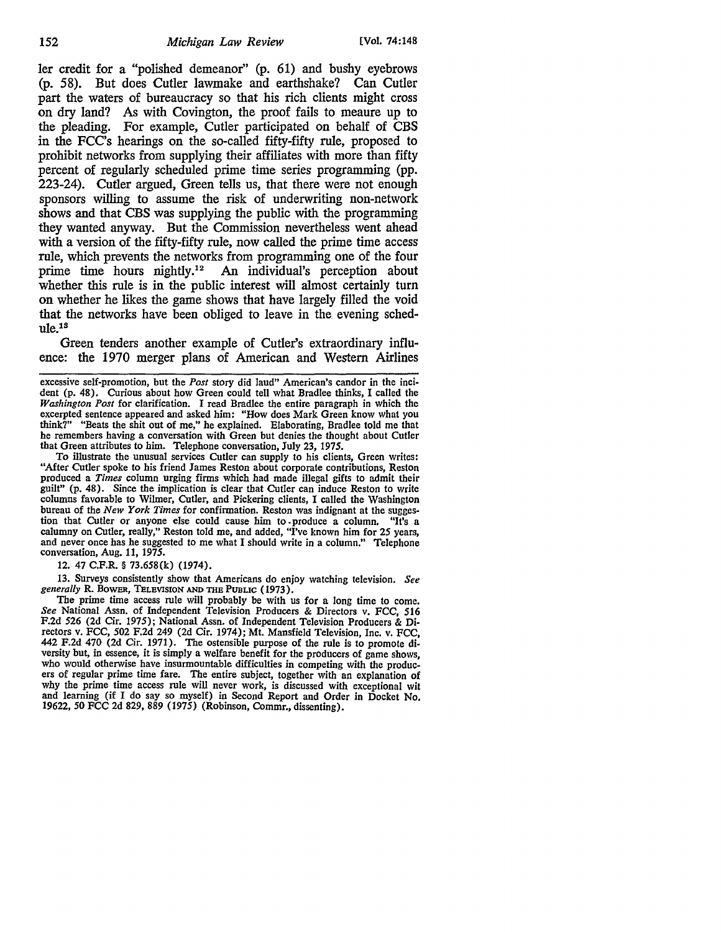ler credit for a "polished demeanor" (p. 61) and bushy eyebrows (p. 58). But does Cutler lawmake and earthshake? Can Cutler part the waters of bureaucracy so that his rich clients might cross on dry land? *As* with Covington, the proof fails to meaure up to the pleading. For example, Cutler participated on behalf of CBS in the FCC's hearings on the so-called fifty-fifty rule, proposed to prohibit networks from supplying their affiliates with more than fifty percent of regularly scheduled prime time series programming (pp. 223-24). Cutler argued, Green tells us, that there were not enough sponsors willing to assume the risk of underwriting non-network shows and that CBS was supplying the public with the programming they wanted anyway. But the Commission nevertheless went ahead with a version of the fifty-fifty rule, now called the prime time access rule, which prevents the networks from programming one of the four prime time hours nightly.12 An individual's perception about whether this rule is in the public interest will almost certainly turn on whether he likes the game shows that have largely filled the void that the networks have been obliged to leave in the. evening sched $u$ le. $1<sup>3</sup>$ 

Green tenders another example of Cutler's extraordinary influence: the 1970 merger plans of American and Western Airlines

To illustrate the unusual services Cutler can supply to his clients, Green writes: "After Cutler spoke to his friend James Reston about corporate contributions, Reston produced a *Times* column urging firms which had made illegal gifts to admit their guilt" (p. 48). Since the implication is clear that Cutler can induce Reston to write columns favorable to Wilmer, Cutler, and Pickering clients, I called the Washington bureau of the *New York Times* for confirmation. Reston was indignant at the suggestion that Cutler or anyone else could cause him to produce a column. "It's a tion that Cutler or anyone else could cause him to . produce a column. "It's a calumny on Cutler, really," Reston told me, and added, "I've known him for 2S years, and never once has he suggested to me what I should write in a column." Telephone conversation, Aug. 11, *1915.* 

12. 47 C.F.R. § 73.6S8(k) (1974).

13. Surveys consistently show that Americans do enjoy watching television. *See generally* R. BOWER, TELEVISION AND THE PUBLIC (1973). The prime time access rule will probably be with us for a long time to come.

See National Assn. of Independent Television Producers & Directors v. FCC, 516 F.2d S26 (2d Cir. 1975); National Assn. of Independent Television Producers & Directors v. FCC, S02 F.2d 249 (2d Cir. 1974); Mt. Mansfield Television, Inc. v. FCC, 442 F.2d 470 (2d Cir. 1971 ). The ostensible purpose of the rule is to promote diversity but, in essence, it is simply a welfare benefit for the producers of game shows, who would otherwise have insurmountable difficulties in competing with the produc- ers of regular prime time fare. The entire subject, together with an explanation of why the prime time access rule will never work, is discussed with exceptional wit and learning (if I do say so myself) in Second Report and Order in Docket No. 19622, SO FCC 2d 829, 889 (1975) (Robinson, Commr., dissenting).

excessive self-promotion, but the *Post* story did laud" American's candor in the incident (p. 48). Curious about how Green could tell what Bradlee thinks, I called the *Washington Post* for clarification. I read Bradlee the entire paragraph in which the excerpted sentence appeared and asked him: "How does Mark Green know what you think?" "Beats the shit out of me," he explained. Elaborating, Bradlee told me that he remembers having a conversation with Green but denies the thought about Cutler that Green attributes to him. Telephone conversation, July 23, *1915.*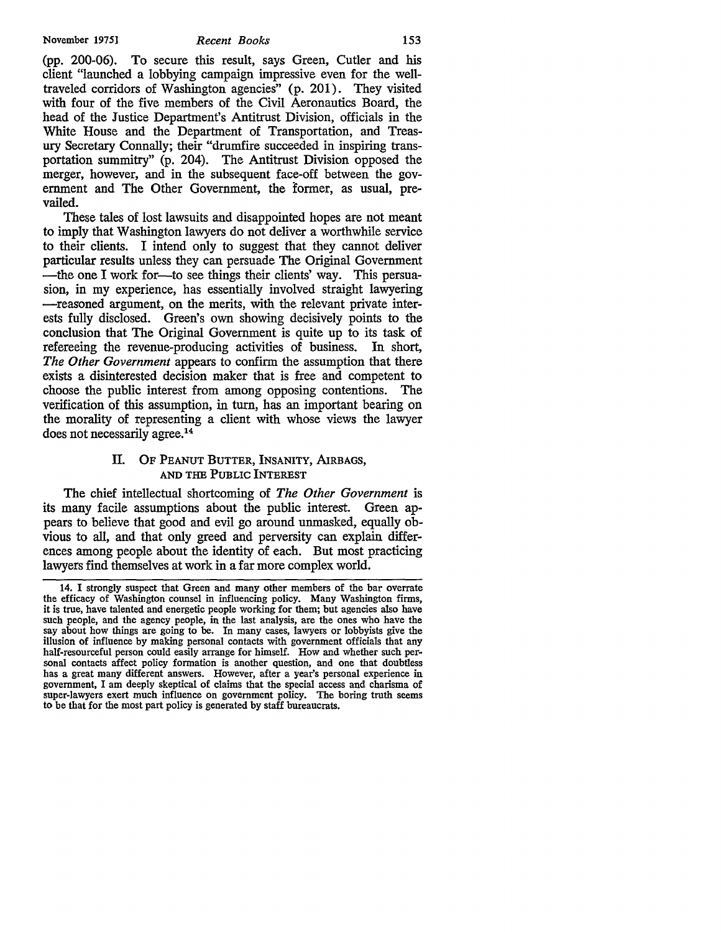November 1975] *Recent Books* 153

(pp. 200-06). To secure this result, says Green, Cutler and his client "launched a lobbying campaign impressive even for the welltraveled corridors of Washington agencies" (p. 201). They visited with four of the five members of the Civil Aeronautics Board, the head of the Justice Department's Antitrust Division, officials in the White House and the Department of Transportation, and Treasury Secretary Connally; their "drumfire succeeded in inspiring transportation summitry" (p. 204). The Antitrust Division opposed the merger, however, and in the subsequent face-off between the government and The Other Government, the former, as usual, prevailed.

These tales of lost lawsuits and disappointed hopes are not meant to imply that Washington lawyers do not deliver a worthwhile service to their clients. I intend only to suggest that they cannot deliver particular results unless they can persuade The Original Government -the one I work for-to see things their clients' way. This persuasion, in my experience, has essentially involved straight lawyering -reasoned argument, on the merits, with the relevant private interests fully disclosed. Green's own showing decisively points to the conclusion that The Original Government is quite up to its task of refereeing the revenue-producing activities of business. In short, *The Other Government* appears to confirm the assumption that there exists a disinterested decision maker that is free and competent to choose the public interest from among opposing contentions. The verification of this assumption, in tum, has an important bearing on the morality of representing a client with whose views the lawyer does not necessarily agree.<sup>14</sup>

# II. **OF PEANUT** BUTTER, **INSANITY, AIRBAGS,**  AND THE PuBLIC INTEREST

The chief intellectual shortcoming of *The Other Government* is its many facile assumptions about the public interest. Green appears to believe that good and evil go around unmasked, equally obvious to all, and that only greed and perversity can explain differences among people about the identity of each. But most practicing lawyers find themselves at work in a far more complex world.

<sup>14.</sup> I strongly suspect that Green and many other members of the bar overrate the efficacy of Washington counsel in influencing policy. Many Washington firms, it is true, have talented and energetic people working for them; but agencies also have such people, and the agency people, in the last analysis, are the ones who have the say about how things are going to be. In many cases, lawyers or lobbyists give the illusion of influence by making personal contacts with government officials that any half-resourceful person could easily arrange for himself. How and whether such personal contacts affect policy formation is another question, and one that doubtless has a great many different answers. However, after a year's personal experience in government, I am deeply skeptical of claims that the special access and charisma of super-lawyers exert much influence on government policy. The boring truth seems to be that for the most part policy is generated by staff bureaucrats.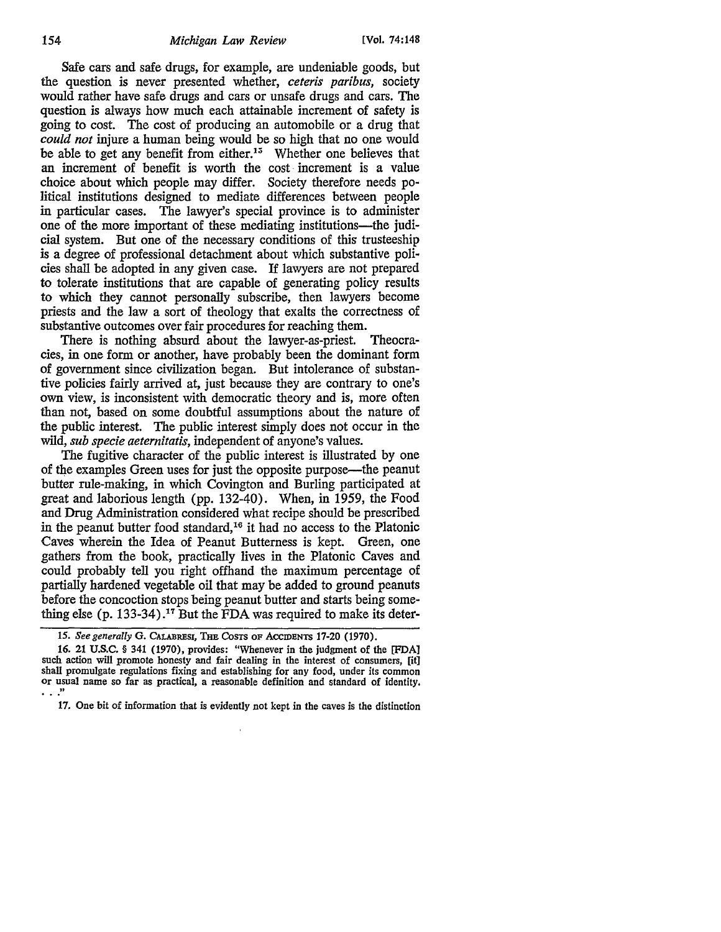Safe cars and safe drugs, for example, are undeniable goods, but the question is never presented whether, *ceteris paribus,* society would rather have safe drugs and cars or unsafe drugs and cars. The question is always how much each attainable increment of safety is going to cost. The cost of producing an automobile or a drug that *could not* injure a human being would be so high that no one would be able to get any benefit from either.<sup>15</sup> Whether one believes that an increment of benefit is worth the cost increment is a value choice about which people may differ. Society therefore needs political institutions designed to mediate differences between people in particular cases. The lawyer's special province is to administer one of the more important of these mediating institutions—the judicial system. But one of the necessary conditions of this trusteeship is a degree of professional detachment about which substantive policies shall be adopted in any given case. If lawyers are not prepared to tolerate institutions that are capable of generating policy results to which they cannot personally subscribe, then lawyers become priests and the law a sort of theology that exalts the correctness of substantive outcomes over fair procedures for reaching them.

There is nothing absurd about the lawyer-as-priest. Theocracies, in one form or another, have probably been the dominant form of government since civilization began. But intolerance of substantive policies fairly arrived at, just because they are contrary to one's own view, is inconsistent with democratic theory and is, more often than not, based on some doubtful assumptions about the nature of the public interest. The public interest simply does not occur in the wild, *sub specie aeternitatis,* independent of anyone's values.

The fugitive character of the public interest is illustrated by one of the examples Green uses for just the opposite purpose—the peanut butter rule-making, in which Covington and Burling participated at great and laborious length (pp. 132-40). When, in 1959, the Food and Drug Administration considered what recipe should be prescribed in the peanut butter food standard, 16 it had no access to the Platonic Caves wherein the Idea of Peanut Butterness is kept. Green, one gathers from the book, practically lives in the Platonic Caves and could probably tell you right offhand the maximum percentage of partially hardened vegetable oil that may be added to ground peanuts before the concoction stops being peanut butter and starts being something else (p. 133-34).17 But the FDA was required to make its deter-

<sup>15.</sup> *See generally* G. CALABRESI, THE CosTS OF ACCIDENTS 17-20 (1970).

<sup>16. 21</sup> U.S.C. § 341 (1970), provides: "Whenever in the judgment of the [FDA] such action will promote honesty and fair dealing in the interest of consumers, [it] shall promulgate regulations fixing and establishing for any food, under its common or usual name so far as practical, a reasonable definition and standard of identity. ,,

<sup>17.</sup> One bit of information that is evidently not kept in the caves is the distinction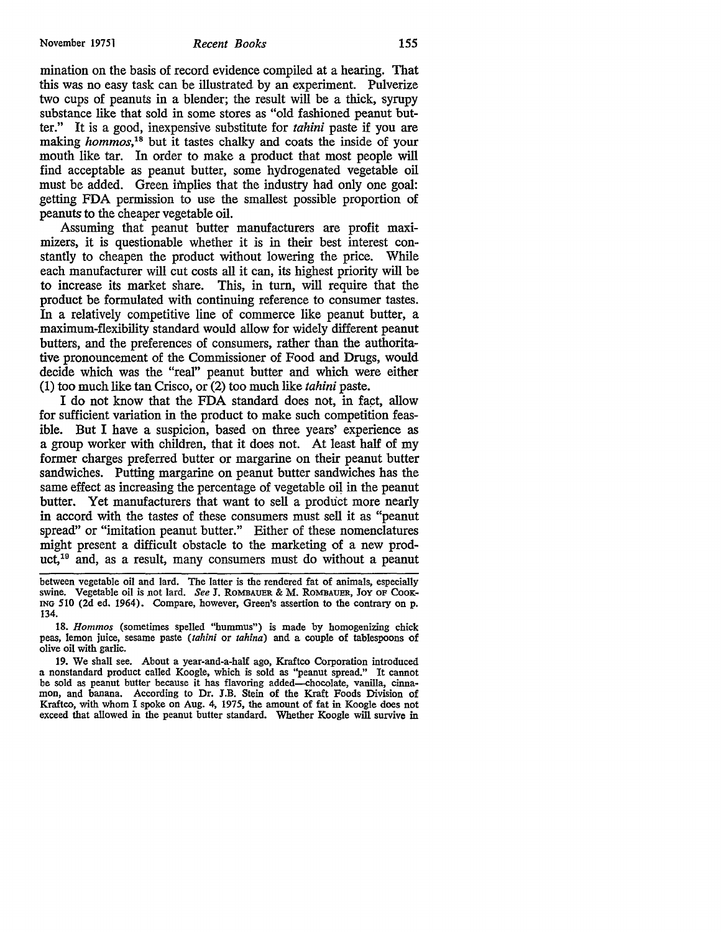November 19751 *Recent Books* **155** 

mination on the basis of record evidence compiled at a hearing. That this was no easy task can be illustrated by an experiment. Pulverize two cups of peanuts in a blender; the result will be a thick, syrupy substance like that sold in some stores as "old fashioned peanut butter." It is a good, inexpensive substitute for *tahini* paste if you are making *hommos,* 18 but it tastes chalky and coats the inside of your mouth like tar. In order to make a product that most people will find acceptable as peanut butter, some hydrogenated vegetable oil must be added. Green implies that the industry had only one goal: getting FDA permission to use the smallest possible proportion of peanuts to the cheaper vegetable oil.

Assuming that peanut butter manufacturers are profit maximizers, it is questionable whether it is in their best interest constantly to cheapen the product without lowering the price. While each manufacturer will cut costs all it can, its highest priority will be to increase its market share. This, in turn, will require that the product be formulated with continuing reference to consumer tastes. In a relatively competitive line of commerce like peanut butter, a maximum-flexibility standard would allow for widely different peanut butters, and the preferences of consumers, rather than the authoritative pronouncement of the Commissioner of Food and Drugs, would decide which was the "real" peanut butter and which were either (1) too much like tan Crisco, or (2) too much like *tahini* paste.

I do not know that the FDA standard does not, in fact, allow for sufficient variation in the product to make such competition feasible. But I have a suspicion, based on three years' experience as a group worker with children, that it does not. At least half of my former charges preferred butter or margarine on their peanut butter sandwiches. Putting margarine on peanut butter sandwiches has the same effect as increasing the percentage of vegetable oil in the peanut butter. Yet manufacturers that want to sell a product more nearly in accord with the tastes of these consumers must sell it as "peanut spread" or "imitation peanut butter." Either of these nomenclatures might present a difficult obstacle to the marketing of a new product,<sup>19</sup> and, as a result, many consumers must do without a peanut

between vegetable oil and lard. The latter is the rendered fat of animals, especially swine. Vegetable oil is not lard. *See* J. RoMBAUER & M. RoMBAUER, Joy OF CooK-ING 510 (2d ed. 1964). Compare, however, Green's assertion to the contrary on p. 134.

18. *Hommos* (sometimes spelled "hummus") is made by homogenizing chick peas, lemon juice, sesame paste *(talzini* or *tahina)* and a couple of tablespoons of olive oil with garlic.

19. We shall see. About a year-and-a-half ago, Kraftco Corporation introduced a nonstandard product called Koogle, which is sold as "peanut spread." It cannot be sold as peanut butter because it has flavoring added-chocolate, vanilla, cinnamon, and banana. According to Dr. J.B. Stein of the Kraft Foods Division of Kraftco, with whom I spoke on Aug. 4, 1975, the amount of fat in Koogle does not exceed that allowed in the peanut butter standard. Whether Koogle will survive in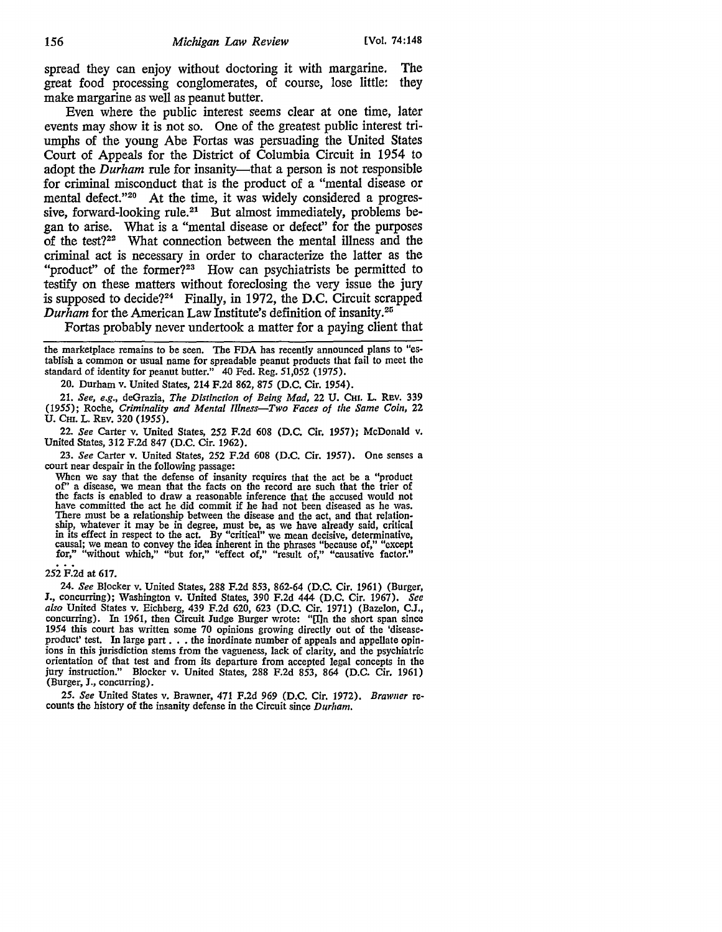spread they can enjoy without doctoring it with margarine. The great food processing conglomerates, of course, lose little: they make margarine as well as peanut butter.

Even where the public interest *seems* clear at one time, later events may show it is not so. One of the greatest public interest triumphs of the young Abe Fortas was persuading the United States Court of Appeals for the District of Columbia Circuit in 1954 to adopt the *Durham* rule for insanity-that a person is not responsible for criminal misconduct that is the product of a "mental disease or mental defect."<sup>20</sup> At the time, it was widely considered a progressive, forward-looking rule.<sup>21</sup> But almost immediately, problems began to arise. What is a "mental disease or defect" for the purposes of the test?22 What connection between the mental illness and the criminal act is necessary in order to characterize the latter as the "product" of the former?<sup>23</sup> How can psychiatrists be permitted to testify on these matters without foreclosing the very issue the jury is supposed to decide?<sup>24</sup> Finally, in 1972, the D.C. Circuit scrapped *Durham* for the American Law Institute's definition of insanity.<sup>25</sup>

Fortas probably never undertook a matter for a paying client that

the marketplace remains to be seen. The FDA has recently announced plans to "es• tablish a common or usual name for spreadable peanut products that fail to meet the standard of identity for peanut butter." 40 Fed. Reg. 51,052 (1975).

20. Durham v. United States, 214 F.2d 862, 875 (D.C. Cir. 1954).

21. *See, e.g.,* deGrazia, *The Distinction of Being Mad,* 22 U. CHI, L REV. 339 (1955); Roche, *Criminality and Mental Illness-Two Faces of the Same Coin,* 22 U. CHI. L. REv. 320 (1955).

22. *See* Carter v. United States, 252 F.2d 608 (D.C. Cir. 1957); McDonald v. United States, 312 F.2d 847 (D.C. Cir. 1962).

23. *See* Carter v. United States, 252 F.2d 608 (D.C. Cir. 1957). One senses a court near despair in the following passage:

When we say that the defense of insanity requires that the act be a "product of" a disease, we mean that the facts on the record are such that the trier of the facts is enabled to draw a reasonable inference that the accused would not have committed the act he did commit if he had not been diseased as he was. There must be a relationship between the disease and the act, and that relationship, whatever it may be in degree, must be, as we have already said, critical in its effect in respect to the act. By "critical" we mean decisive, determinative, causal; we mean to convey the idea inherent in the phrases "because of," "except for," "without which," "but for," "effect of," "result of," "causative factor."

# 252 F.2d at 617.

24. *See* Blocker v. United States, 288 F.2d 853, 862-64 (D.C. Cir. 1961) (Burger, J., concurring); Washington v. United States, 390 F.2d 444 (D.C. Cir. 1967). *See also* United States v. Eichberg, 439 F.2d 620, 623 (D.C. Cir. 1971) (Bazelon, C.J., concurring). In 1961, then Circuit Judge Burger wrote: "[IJn the short span since 1954 this court has written some 70 opinions growing directly out of the 'diseaseproduct' test. In large part . . . the inordinate number of appeals and appellate opinions in this jurisdiction stems from the vagueness, lack of clarity, and the psychiatric orientation of that test and from its departure from accepted legal concepts in the juzy instruction." Blocker v. United States, 288 F.2d 853, 864 (D.C. Cir. 1961) (Burger, J., concurring).

25. *See* United States v. Brawner, 471 F.2d 969 (D.C. Cir. 1972). *Brawner* re• counts the histozy of the insanity defense in the Circuit since *Durham.*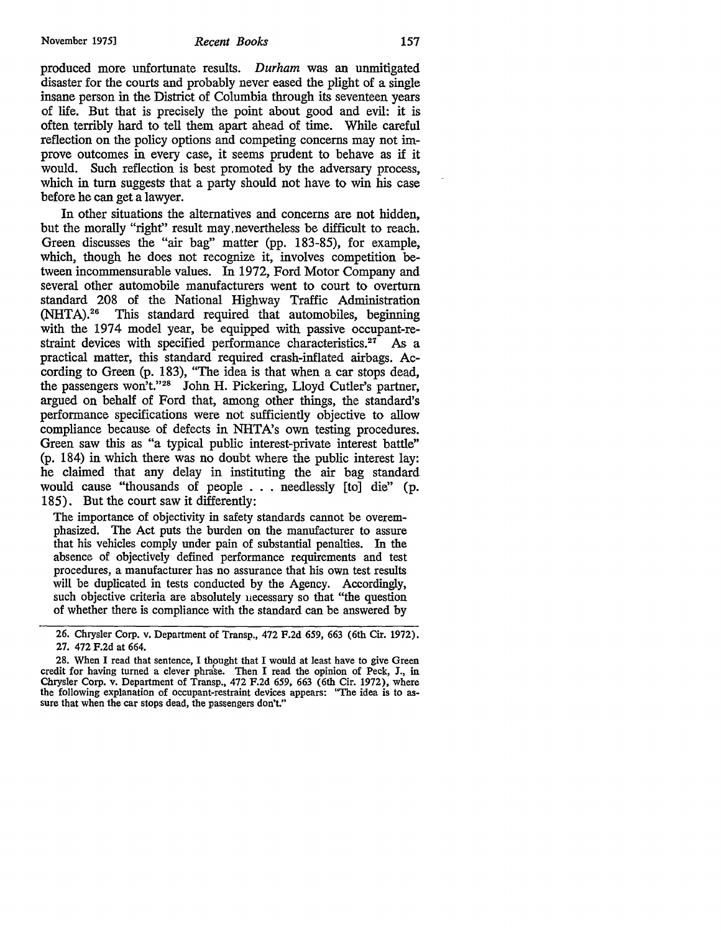produced more unfortunate results. *Durham* was an unmitigated disaster for the courts and probably never eased the plight of a single insane person in the District of Columbia through its seventeen years of life. But that is precisely the point about good and evil: it is often terribly hard to tell them apart ahead of time. While careful reflection on the policy options and competing concerns may not improve outcomes in every case, it seems prudent to behave as if it would. Such reflection is best promoted by the adversary process, which in tum suggests that a party should not have to win his case before he can get a lawyer.

In other situations the alternatives and concerns are not hidden, but the morally "right" result may.nevertheless be difficult to reach. Green discusses the "air bag" matter (pp. 183-85), for example, which, though he does not recognize it, involves competition between incommensurable values. In 1972, Ford Motor Company and several other automobile manufacturers went to court to overturn standard 208 of the National Highway Traffic Administration (NHTA).<sup>26</sup> This standard required that automobiles, beginning This standard required that automobiles, beginning with the 1974 model year, be equipped with passive occupant-restraint devices with specified performance characteristics.<sup>27</sup> As a practical matter, this standard required crash-inflated airbags. According to Green (p. 183), "The idea is that when a car stops dead, the passengers won't."<sup>28</sup> John H. Pickering, Lloyd Cutler's partner, argued on behalf of Ford that, among other things, the standard's performance specifications were not sufficiently objective to allow compliance because of defects in NHTA's own testing procedures. Green saw this as "a typical public interest-private interest battle" (p. 184) in which there was no doubt where the public interest lay: he claimed that any delay in instituting the air bag standard would cause "thousands of people . . . needlessly [to] die" (p. 185). But the court saw it differently:

The importance of objectivity in safety standards cannot be overemphasized. The Act puts the burden on the manufacturer to assure that his vehicles comply under pain of substantial penalties. In the absence of objectively defined performance requirements and test procedures, a manufacturer has no assurance that his own test results will be duplicated in tests conducted by the Agency. Accordingly, such objective criteria are absolutely uecessary so that "the question of whether there is compliance with the standard can be answered by

<sup>26.</sup> Chrysler Corp. v. Department of Transp., 472 F.2d 659, 663 (6th Cir. 1972). 27. 472 F.2d at 664.

<sup>28.</sup> When I read that sentence, I thought that I would at least have to give Green credit for having turned a clever phra'se. Then I read the opinion of Peck, J., in Chrysler Corp. v. Department of Transp., 472 F.2d 659, 663 (6th Cir. 1972), where the following explanation of occupant-restraint devices appears: "The idea is to assure that when the car stops dead, the passengers don't."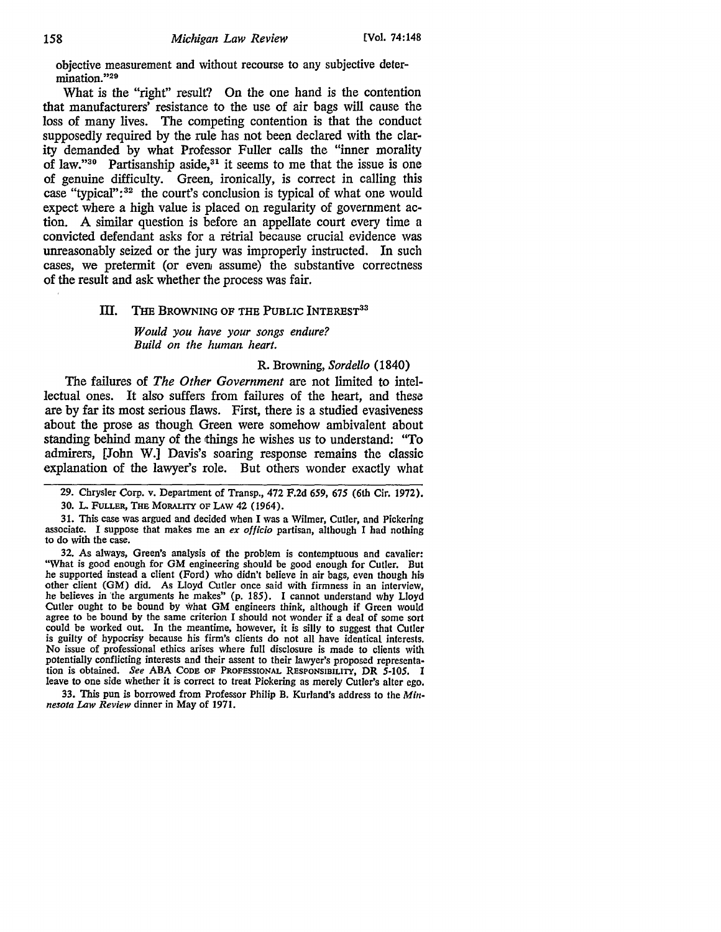objective measurement and without recourse to any subjective determination."<sup>29</sup>

What is the "right" result? On the one hand is the contention that manufacturers' resistance to the use of air bags will cause the loss of many lives. The competing contention is that the conduct supposedly required by the rule has not been declared with the clarity demanded by what Professor Fuller calls the "inner morality of law."<sup>30</sup> Partisanship aside,<sup>31</sup> it seems to me that the issue is one of genuine difficulty. Green, ironically, is correct in calling this case "typical":<sup>32</sup> the court's conclusion is typical of what one would expect where a high value is placed on regularity of government action. A similar question is before an appellate court every time a convicted defendant asks for a retrial because crucial evidence was unreasonably seized or the jury was improperly instructed. In such cases, we pretermit (or everu assume) the substantive correctness of the result and ask whether the process was fair.

### III. THE BROWNING OF THE PUBLIC INTEREST<sup>33</sup>

*Would you have your songs endure? Build on the human heart.* 

#### R. Browning, *Sordel/o* (1840)

The failures of *The Other Government* are not limited to intellectual ones. It also suffers from failures of the heart, and these are by far its most serious flaws. First, there is a studied evasiveness about the prose as though Green were somehow ambivalent about standing behind many of the things he wishes us to understand: "To admirers, [John W.] Davis's soaring response remains the classic explanation of the lawyer's role. But others wonder exactly what

31. This case was argued and decided when I was a Wilmer, Cutler, and Pickering associate. I suppose that makes me an *ex officio* partisan, although I had nothing to do with the case.

32. As always, Green's analysis of the problem is contemptuous and cavalier: "What is good enough for GM engineering should be good enough for Cutler. But he supported instead a client (Ford) who didn't believe in air bags, even though his other client (GM) did. As Lloyd Cutler once said with firmness in an interview, he believes in the arguments he makes" (p. 185). I cannot understand why Lloyd Cutler ought to be bound by what GM engineers think, although if Green would agree to be bound by the same criterion I should not wonder if a deal of some sort could be worked out. In the meantime, however, it is silly to suggest that Cutler is guilty of hypocrisy because his firm's clients do not all have identical interests. No issue of professional ethics arises where full disclosure is made to clients with potentially conflicting interests and their assent to their lawyer's proposed representation is obtained. *See* ABA CODE OF PROFESSIONAL RESPONSIBILllY, DR *5-105.* I leave to one side whether it is correct to treat Piokering as merely Cutler's alter ego.

33. This pun is borrowed from Professor Philip B. Kurland's address to the *Mi11 nesota Law Review* dinner in May of 1971.

<sup>29.</sup> Chrysler Corp. v. Department of Transp., 472 F.2d *659,* 675 (6th Cir. 1972). 30. L. FuLLER, THE **MORALITY** OF LAW 42 (1964).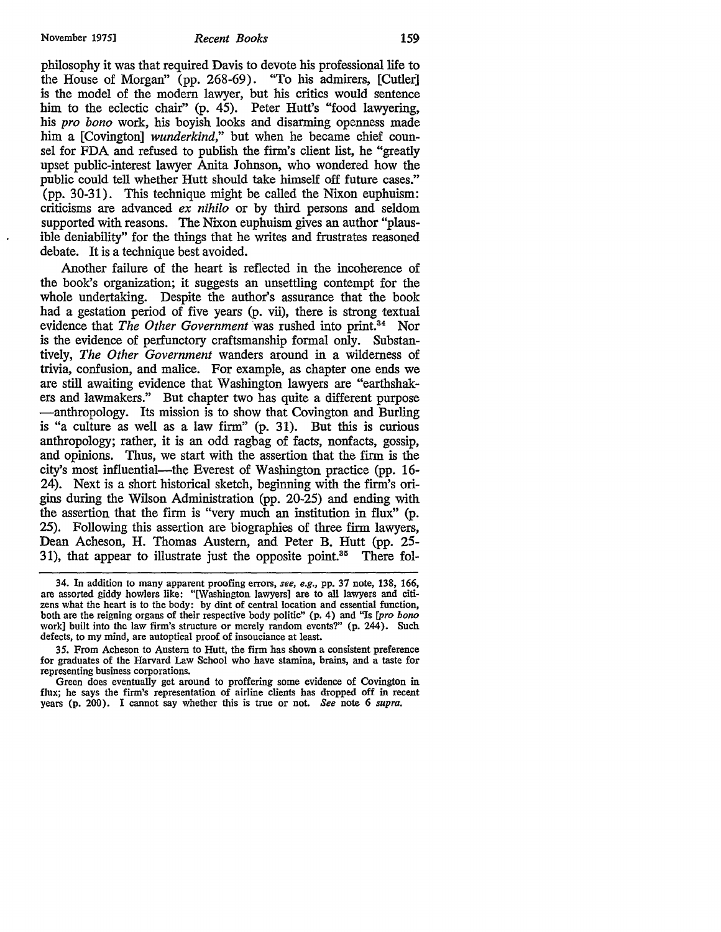philosophy it was that required Davis to devote his professional life to the House of Morgan" (pp. 268-69). "To his admirers, [Cutler] is the model of the modern lawyer, but his critics would sentence him to the eclectic chair" (p. 45). Peter Hutt's "food lawyering, his *pro bono* work, his boyish looks and disarming openness made him a [Covington] *wunderkind,"* but when he became chief counsel for FDA and refused to publish the firm's client list, he "greatly upset public-interest lawyer Anita Johnson, who wondered how the public could tell whether Hutt should take himself off future cases." (pp. 30-31). This technique might be called the Nixon euphuism: criticisms are advanced *ex nihilo* or by third persons and seldom supported with reasons. The Nixon euphuism gives an author "plausible deniability" for the things that he writes and frustrates reasoned debate. It is a technique best avoided.

Another failure of the heart is reflected in the incoherence of the book's organization; it suggests an unsettling contempt for the whole undertaking. Despite the author's assurance that the book had a gestation period of five years (p. vii), there is strong textual evidence that *The Other Government* was rushed into print.<sup>34</sup> Nor is the evidence of perfunctory craftsmanship formal only. Substantively, *The Other Government* wanders around in a wilderness of trivia, confusion, and malice. For example, as chapter one ends we are still awaiting evidence that Washington lawyers are "earthshakers and lawmakers." But chapter two has quite a different purpose -anthropology. Its mission is to show that Covington and Burling is "a culture as well as a law firm" (p. 31). But this is curious anthropology; rather, it is an odd ragbag of facts, nonfacts, gossip, and opinions. Thus, we start with the assertion that the firm is the city's most influential—the Everest of Washington practice (pp. 16-24). Next is a short historical sketch, beginning with the firm's origins during the Wilson Administration (pp. 20-25) and ending with the assertion that the firm is "very much an institution in flux" (p. 25). Following this assertion are biographies of three firm lawyers, Dean Acheson, H. Thomas Austern, and Peter B. Hutt (pp. 25- 31), that appear to illustrate just the opposite point.<sup>35</sup> There fol-

<sup>34.</sup> In addition to many apparent proofing errors, *see, e.g.,* pp. 37 note, 138, 166, are assorted giddy howlers like: "[Washington lawyers] are to all lawyers and citizens what the heart is to the body: by dint of central location and essential function, both are the reigning organs of their respective body politic" (p. 4) and "Is [pro bono work] built into the law firm's structure or merely random events?" (p. 244). Such defects, to my mind, are autoptical proof of insouciance at least.

<sup>35.</sup> From Acheson to Austem to Hutt, the firm has shown a consistent preference for graduates of the Harvard Law School who have stamina, brains, and a taste for representing business corporations.

Green does eventually get around to proffering some evidence of Covington in flux; he says the firm's representation of airline clients has dropped off in recent years (p. 200). I cannot say whether this is true or not. *See* note 6 *supra*.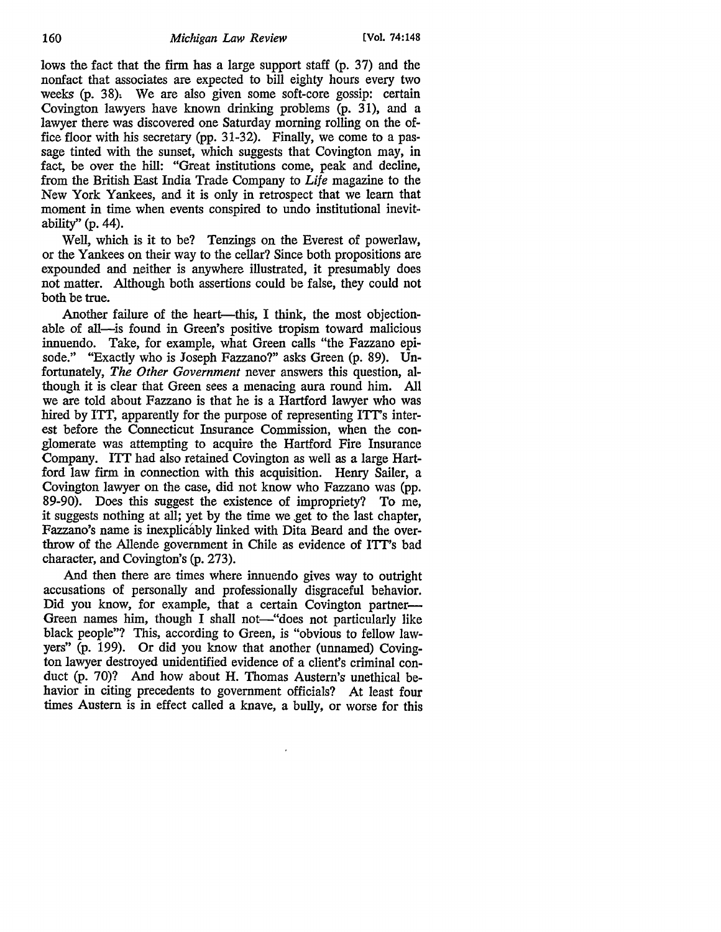lows the fact that the firm has a large support staff (p. 37) and the nonfact that associates are expected to bill eighty hours every two weeks (p. 38). We are also given some soft-core gossip: certain Covington lawyers have known drinking problems (p. 31), and a lawyer there was discovered one Saturday morning rolling on the office floor with his secretary (pp. 31-32). Finally, we come to a passage tinted with the sunset, which suggests that Covington may, in fact, be over the hill: "Great institutions come, peak and decline, from the British East India Trade Company to *Life* magazine to the New York Yankees, and it is only in retrospect that we learn that moment in time when events conspired to undo institutional inevitability" (p. 44).

Well, which is it to be? Tenzings on the Everest of powerlaw, or the Yankees on their way to the cellar? Since both propositions are expounded and neither is anywhere illustrated, it presumably does not matter. Although both assertions could be false, they could not both be true.

Another failure of the heart-this, I think, the most objectionable of all-is found in Green's positive tropism toward malicious innuendo. Take, for example, what Green calls "the Fazzano episode." "Exactly who is Joseph Fazzano?" asks Green (p. 89). Unfortunately, *The Other Government* never answers this question, although it is clear that Green sees a menacing aura round him. All we are told about Fazzano is that he is a Hartford lawyer who was hired by ITT, apparently for the purpose of representing ITT's interest before the Connecticut Insurance Commission, when the conglomerate was attempting to acquire the Hartford Fire Insurance Company. ITT had also retained Covington as well as a large Hartford law firm in connection with this acquisition. Henry Sailer, a Covington lawyer on the case, did not know who Fazzano was (pp. 89-90). Does this suggest the existence of impropriety? To me, it suggests nothing at all; yet by the time we .get to the last chapter, Fazzano's name is inexplicably linked with Dita Beard and the overthrow of the Allende government in Chile as evidence of ITI's bad character, and Covington's (p. 273).

And then there are times where innuendo gives way to outright accusations of personally and professionally disgraceful behavior. Did you know, for example, that a certain Covington partner-Green names him, though I shall not-"does not particularly like black people"? This, according to Green, is "obvious to fellow lawyers" (p. 199). Or did you know that another (unnamed) Covington lawyer destroyed unidentified evidence of a client's criminal conduct (p. 70)? And how about H. Thomas Austern's unethical behavior in citing precedents to government officials? At least four times Austern is in effect called a knave, a bully, or worse for this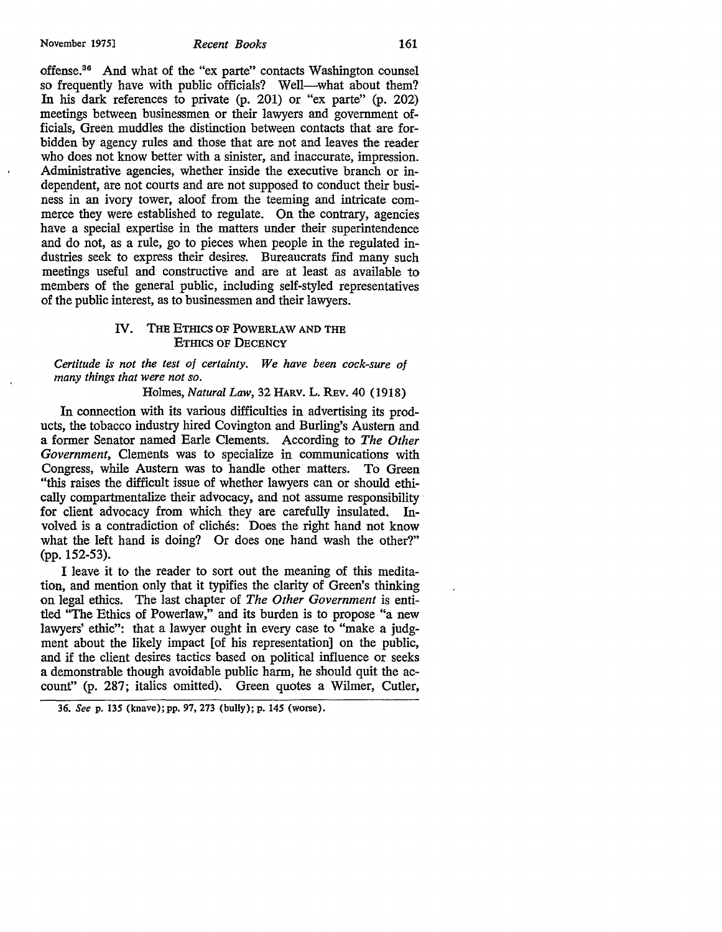offense.36 And what of the "ex parte" contacts Washington counsel so frequently have with public officials? Well-what about them? In his dark references to private (p. 201) or "ex parte" (p. 202) meetings between businessmen or their lawyers and government officials, Green muddles the distinction between contacts that are forbidden by agency rules and those that are not and leaves the reader who does not know better with a sinister, and inaccurate, impression. Administrative agencies, whether inside the executive branch or independent, are not courts and are not supposed to conduct their business in an ivory tower, aloof from the teeming and intricate commerce they were established to regulate. On the contrary, agencies have a special expertise in the matters under their superintendence and do not, as a rule, go to pieces when people in the regulated industries seek to express their desires. Bureaucrats find many such meetings useful and constructive and are at least as available to members of the general public, including self-styled representatives of the public interest, as to businessmen and their lawyers.

### IV. **THE ETHICS OF POWERLAW AND THE ETHICS OF DECENCY**

*Certitude is not the test of certainty. We have been cock-sure of many things that were not so.* 

Holmes, *Natural Law,* 32 HARV. L. REv. 40 (1918)

In connection with its various difficulties in advertising its products, the tobacco industry hired Covington and Burling's Austem and a former Senator named Earle Clements. According to *The Other Government,* Clements was to specialize in communications with Congress, while Austern was to handle other matters. To Green "this raises the difficult issue of whether lawyers can or should ethically compartmentalize their advocacy, and not assume responsibility· for client advocacy from which they are carefully insulated. Involved is a contradiction of cliches: Does the right hand not know what the left hand is doing? Or does one hand wash the other?" (pp. 152-53).

I leave it to the reader to sort out the meaning of this meditation, and mention only that it typifies the clarity of Green's thinking on legal ethics. The last chapter of *The Other Government* is entitled "The Ethics of Powerlaw," and its burden is to propose "a new lawyers' ethic": that a lawyer ought in every case to "make a judgment about the likely impact [of his representation] on the public, and if the client desires tactics based on political influence or seeks a demonstrable though avoidable public harm, he should quit the account" (p. 287; italics omitted). Green quotes a Wilmer, Cutler,

**<sup>36.</sup>** *See* **p. 135 (knave); pp. 97, 273 (bully); p. 145 (worse).**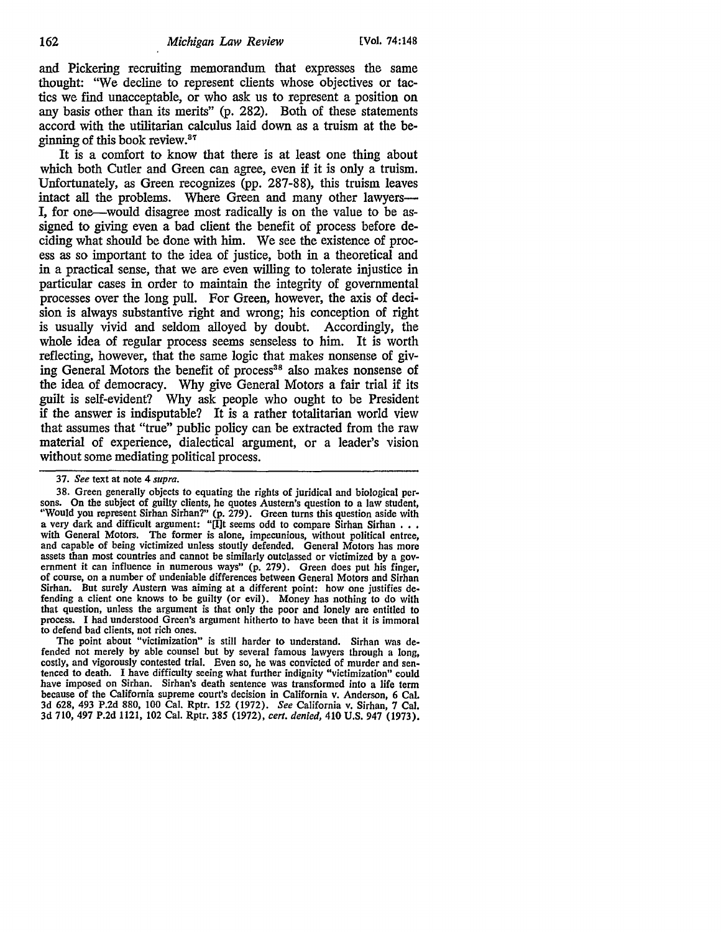and Pickering recruiting memorandum that expresses the same thought: "We decline to represent clients whose objectives or tactics we find unacceptable, or who ask us to represent a position on any basis other than its merits" (p. 282). Both of these statements accord with the utilitarian calculus laid down as a truism at the beginning of this book review.37

It is a comfort to know that there is at least one thing about which both Cutler and Green can agree, even if it is only a truism. Unfortunately, as Green recognizes (pp. 287-88), this truism leaves intact all the problems. Where Green and many other lawyers---1, for one-would disagree most radically is on the value to be assigned to giving even a bad client the benefit of process before deciding what should be done with him. We see the existence of process as so important to the idea of justice, both in a theoretical and in a practical sense, that we are even willing to tolerate injustice in particular cases in order to maintain the integrity of governmental processes over the long pull. For Green, however, the axis of decision is always substantive right and wrong; his conception of right is usually vivid and seldom alloyed by doubt. Accordingly, the whole idea of regular process seems senseless to him. It is worth reflecting, however, that the same logic that makes nonsense of giving General Motors the benefit of process<sup>38</sup> also makes nonsense of the idea of democracy. Why give General Motors a fair trial if its guilt is self-evident? Why ask people who ought to be President if the answer is indisputable? It is a rather totalitarian world view that assumes that "true" public policy can be extracted from the raw material of experience, dialectical argument, or a leader's vision without some mediating political process.

The point about "victimization" is still harder to understand. Sirhan was defended not merely by able counsel but by several famous lawyers through a long, costly, and vigorously contested trial. Even so, he was convicted of murder and sentenced to death. I have difficulty seeing what further indignity "victimization" could have imposed on Sirhan. Sirhan's death sentence was transformed into a life term because of the California supreme court's decision in California v. Anderson, 6 Cal. 3d 628, 493 P.2d 880, 100 Cal. Rptr. 152 (1972). *See* California v. Sirhan, 7 Cal. 3d 710, 497 P.2d 1121, 102 Cal. Rptr. 385 (1972), *cert. denied,* 410 U.S. 947 (1973).

*<sup>31.</sup> See* text at note 4 *supra.* 

<sup>38.</sup> Green generally objects to equating the rights of juridical and biological persons. On the subject of guilty clients, he quotes Austern's question to a law student, "Would you represent Sirhan Sirhan?" (p. 279). Green a very dark and difficult argument: "[I]t seems odd to compare Sirhan Sirhan . • • with General Motors. The former is alone, impecunious, without political entree, and capable of being victimized unless stoutly defended. General Motors has more assets than most countries and cannot be similarly outclassed or victimized by a govassets than most countries and cannot be similarly outclassed or victimized by a government it can influence in numerous ways" (p. 279). Green does put his finger, of course, on a number of undeniable differences between General Motors and Sirhan Sirhan. But surely Austem was aiming at a different point: bow one justifies defending a client one knows to be guilty (or evil). Money has nothing to do with that question, unless the argument is that only the poor and lonely are entitled to process. I had understood Green's argument hitherto to have been that it is immoral to defend bad clients, not rich ones.